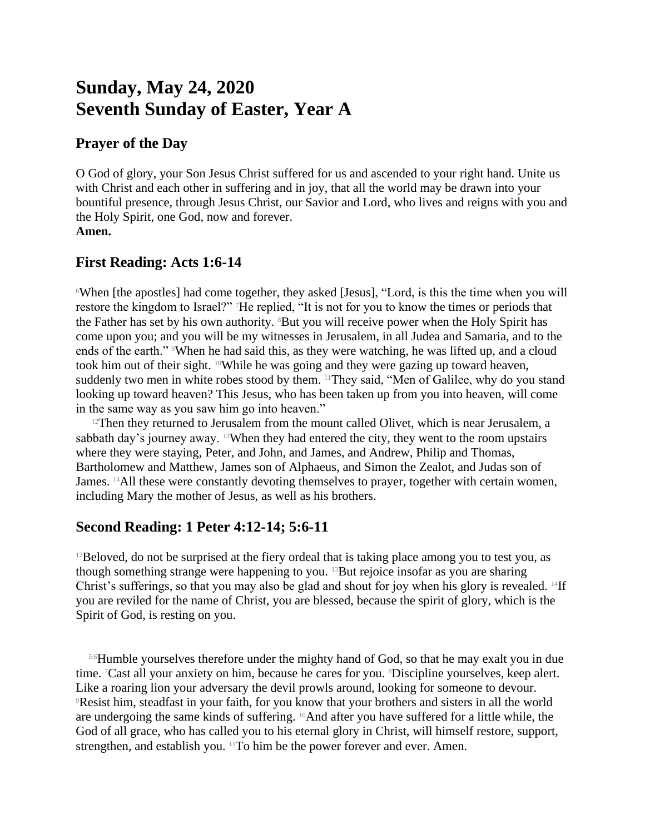# **Sunday, May 24, 2020 Seventh Sunday of Easter, Year A**

## **Prayer of the Day**

O God of glory, your Son Jesus Christ suffered for us and ascended to your right hand. Unite us with Christ and each other in suffering and in joy, that all the world may be drawn into your bountiful presence, through Jesus Christ, our Savior and Lord, who lives and reigns with you and the Holy Spirit, one God, now and forever. **Amen.**

## **First Reading: Acts 1:6-14**

<sup>6</sup>When [the apostles] had come together, they asked [Jesus], "Lord, is this the time when you will restore the kingdom to Israel?" 7He replied, "It is not for you to know the times or periods that the Father has set by his own authority. <sup>8</sup>But you will receive power when the Holy Spirit has come upon you; and you will be my witnesses in Jerusalem, in all Judea and Samaria, and to the ends of the earth." When he had said this, as they were watching, he was lifted up, and a cloud took him out of their sight. 10While he was going and they were gazing up toward heaven, suddenly two men in white robes stood by them. <sup>11</sup>They said, "Men of Galilee, why do you stand looking up toward heaven? This Jesus, who has been taken up from you into heaven, will come in the same way as you saw him go into heaven."

 $12$ Then they returned to Jerusalem from the mount called Olivet, which is near Jerusalem, a sabbath day's journey away. 13When they had entered the city, they went to the room upstairs where they were staying, Peter, and John, and James, and Andrew, Philip and Thomas, Bartholomew and Matthew, James son of Alphaeus, and Simon the Zealot, and Judas son of James. 14All these were constantly devoting themselves to prayer, together with certain women, including Mary the mother of Jesus, as well as his brothers.

## **Second Reading: 1 Peter 4:12-14; 5:6-11**

 $12$ Beloved, do not be surprised at the fiery ordeal that is taking place among you to test you, as though something strange were happening to you. 13But rejoice insofar as you are sharing Christ's sufferings, so that you may also be glad and shout for joy when his glory is revealed. <sup>14</sup>If you are reviled for the name of Christ, you are blessed, because the spirit of glory, which is the Spirit of God, is resting on you.

5:6Humble yourselves therefore under the mighty hand of God, so that he may exalt you in due time. <sup>7</sup>Cast all your anxiety on him, because he cares for you. <sup>8</sup>Discipline yourselves, keep alert. Like a roaring lion your adversary the devil prowls around, looking for someone to devour. <sup>9</sup>Resist him, steadfast in your faith, for you know that your brothers and sisters in all the world are undergoing the same kinds of suffering. 10And after you have suffered for a little while, the God of all grace, who has called you to his eternal glory in Christ, will himself restore, support, strengthen, and establish you. 11To him be the power forever and ever. Amen.